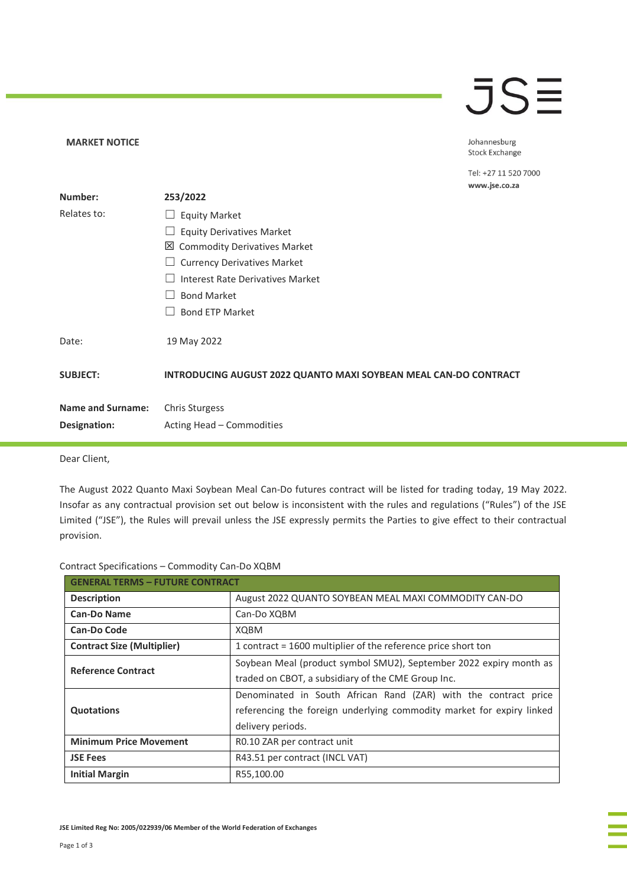## JSE

Johannesburg Stock Exchange

Tel: +27 11 520 7000

|                          |                                                                         | www.jse.co.za |
|--------------------------|-------------------------------------------------------------------------|---------------|
| Number:                  | 253/2022                                                                |               |
| Relates to:              | <b>Equity Market</b>                                                    |               |
|                          | <b>Equity Derivatives Market</b>                                        |               |
|                          | 凶 Commodity Derivatives Market                                          |               |
|                          | <b>Currency Derivatives Market</b>                                      |               |
|                          | Interest Rate Derivatives Market                                        |               |
|                          | <b>Bond Market</b>                                                      |               |
|                          | <b>Bond ETP Market</b>                                                  |               |
| Date:                    | 19 May 2022                                                             |               |
| <b>SUBJECT:</b>          | <b>INTRODUCING AUGUST 2022 QUANTO MAXI SOYBEAN MEAL CAN-DO CONTRACT</b> |               |
| <b>Name and Surname:</b> | <b>Chris Sturgess</b>                                                   |               |
| Designation:             | Acting Head - Commodities                                               |               |

Dear Client,

**MARKET NOTICE** 

The August 2022 Quanto Maxi Soybean Meal Can-Do futures contract will be listed for trading today, 19 May 2022. Insofar as any contractual provision set out below is inconsistent with the rules and regulations ("Rules") of the JSE Limited ("JSE"), the Rules will prevail unless the JSE expressly permits the Parties to give effect to their contractual provision.

|  |  | Contract Specifications - Commodity Can-Do XQBM |  |  |
|--|--|-------------------------------------------------|--|--|
|--|--|-------------------------------------------------|--|--|

| <b>GENERAL TERMS - FUTURE CONTRACT</b> |                                                                                                                                                               |  |
|----------------------------------------|---------------------------------------------------------------------------------------------------------------------------------------------------------------|--|
| <b>Description</b>                     | August 2022 QUANTO SOYBEAN MEAL MAXI COMMODITY CAN-DO                                                                                                         |  |
| <b>Can-Do Name</b>                     | Can-Do XQBM                                                                                                                                                   |  |
| Can-Do Code                            | XQBM                                                                                                                                                          |  |
| <b>Contract Size (Multiplier)</b>      | 1 contract = 1600 multiplier of the reference price short ton                                                                                                 |  |
| <b>Reference Contract</b>              | Soybean Meal (product symbol SMU2), September 2022 expiry month as<br>traded on CBOT, a subsidiary of the CME Group Inc.                                      |  |
| <b>Quotations</b>                      | Denominated in South African Rand (ZAR) with the contract price<br>referencing the foreign underlying commodity market for expiry linked<br>delivery periods. |  |
| <b>Minimum Price Movement</b>          | R0.10 ZAR per contract unit                                                                                                                                   |  |
| <b>JSE Fees</b>                        | R43.51 per contract (INCL VAT)                                                                                                                                |  |
| <b>Initial Margin</b>                  | R55,100.00                                                                                                                                                    |  |

**JSE Limited Reg No: 2005/022939/06 Member of the World Federation of Exchanges**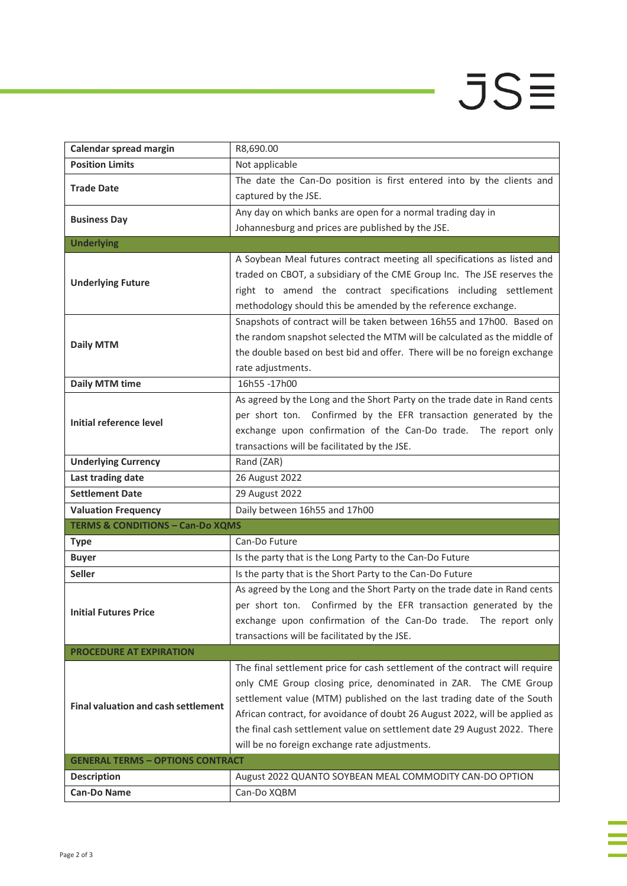## $JS\equiv$

i<br>I

j.

| Calendar spread margin                      | R8,690.00                                                                   |
|---------------------------------------------|-----------------------------------------------------------------------------|
| <b>Position Limits</b>                      | Not applicable                                                              |
| <b>Trade Date</b>                           | The date the Can-Do position is first entered into by the clients and       |
|                                             | captured by the JSE.                                                        |
|                                             | Any day on which banks are open for a normal trading day in                 |
| <b>Business Day</b>                         | Johannesburg and prices are published by the JSE.                           |
| <b>Underlying</b>                           |                                                                             |
|                                             | A Soybean Meal futures contract meeting all specifications as listed and    |
| <b>Underlying Future</b>                    | traded on CBOT, a subsidiary of the CME Group Inc. The JSE reserves the     |
|                                             | right to amend the contract specifications including settlement             |
|                                             | methodology should this be amended by the reference exchange.               |
|                                             | Snapshots of contract will be taken between 16h55 and 17h00. Based on       |
| <b>Daily MTM</b>                            | the random snapshot selected the MTM will be calculated as the middle of    |
|                                             | the double based on best bid and offer. There will be no foreign exchange   |
|                                             | rate adjustments.                                                           |
| <b>Daily MTM time</b>                       | 16h55-17h00                                                                 |
|                                             | As agreed by the Long and the Short Party on the trade date in Rand cents   |
| Initial reference level                     | per short ton. Confirmed by the EFR transaction generated by the            |
|                                             | exchange upon confirmation of the Can-Do trade. The report only             |
|                                             | transactions will be facilitated by the JSE.                                |
| <b>Underlying Currency</b>                  | Rand (ZAR)                                                                  |
| Last trading date                           | 26 August 2022                                                              |
| <b>Settlement Date</b>                      | 29 August 2022                                                              |
| <b>Valuation Frequency</b>                  | Daily between 16h55 and 17h00                                               |
| <b>TERMS &amp; CONDITIONS - Can-Do XQMS</b> |                                                                             |
| <b>Type</b>                                 | Can-Do Future                                                               |
| <b>Buyer</b>                                | Is the party that is the Long Party to the Can-Do Future                    |
| <b>Seller</b>                               | Is the party that is the Short Party to the Can-Do Future                   |
|                                             | As agreed by the Long and the Short Party on the trade date in Rand cents   |
| <b>Initial Futures Price</b>                |                                                                             |
|                                             | per short ton. Confirmed by the EFR transaction generated by the            |
|                                             | exchange upon confirmation of the Can-Do trade. The report only             |
|                                             | transactions will be facilitated by the JSE.                                |
| <b>PROCEDURE AT EXPIRATION</b>              |                                                                             |
|                                             | The final settlement price for cash settlement of the contract will require |
|                                             | only CME Group closing price, denominated in ZAR. The CME Group             |
|                                             | settlement value (MTM) published on the last trading date of the South      |
| <b>Final valuation and cash settlement</b>  | African contract, for avoidance of doubt 26 August 2022, will be applied as |
|                                             | the final cash settlement value on settlement date 29 August 2022. There    |
|                                             | will be no foreign exchange rate adjustments.                               |
| <b>GENERAL TERMS - OPTIONS CONTRACT</b>     |                                                                             |
| <b>Description</b>                          | August 2022 QUANTO SOYBEAN MEAL COMMODITY CAN-DO OPTION                     |